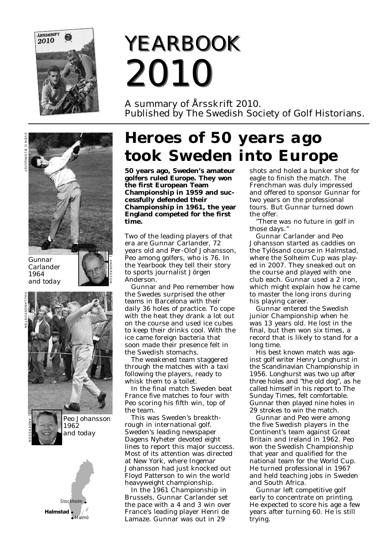

# *YEARBOOK YEARBOOK 2010 2010*

A summary of Årsskrift 2010. Published by The Swedish Society of Golf Historians.





*Peo Johansson 1962 and today*



# *Heroes of 50 years ago took Sweden into Europe*

**50 years ago, Sweden's amateur golfers ruled Europe. They won the first European Team Championship in 1959 and successfully defended their Championship in 1961, the year England competed for the first time.**

Two of the leading players of that era are Gunnar Carlander, 72 years old and Per-Olof Johansson, Peo among golfers, who is 76. In the Yearbook they tell their story to sports journalist Jörgen Anderson.

Gunnar and Peo remember how the Swedes surprised the other teams in Barcelona with their daily 36 holes of practice. To cope with the heat they drank a lot out on the course and used ice cubes to keep their drinks cool. With the ice came foreign bacteria that soon made their presence felt in the Swedish stomachs.

The weakened team staggered through the matches with a taxi following the players, ready to whisk them to a toilet.

In the final match Sweden beat France five matches to four with Peo scoring his fifth win, top of the team.

This was Sweden's breakthrough in international golf. Sweden's leading newspaper Dagens Nyheter devoted eight lines to report this major success. Most of its attention was directed at New York, where Ingemar Johansson had just knocked out Floyd Patterson to win the world heavyweight championship.

In the 1961 Championship in Brussels, Gunnar Carlander set the pace with a 4 and 3 win over France's leading player Henri de Lamaze. Gunnar was out in 29

shots and holed a bunker shot for eagle to finish the match. The Frenchman was duly impressed and offered to sponsor Gunnar for two years on the professional tours. But Gunnar turned down the offer.

"There was no future in golf in those days."

Gunnar Carlander and Peo Johansson started as caddies on the Tylösand course in Halmstad, where the Solheim Cup was played in 2007. They sneaked out on the course and played with one club each. Gunnar used a 2 iron, which might explain how he came to master the long irons during his playing career.

Gunnar entered the Swedish junior Championship when he was 13 years old. He lost in the final, but then won six times, a record that is likely to stand for a long time.

His best known match was against golf writer Henry Longhurst in the Scandinavian Championship in 1956. Longhurst was two up after three holes and "the old dog", as he called himself in his report to The Sunday Times, felt comfortable. Gunnar then played nine holes in 29 strokes to win the match.

Gunnar and Peo were among the five Swedish players in the Continent's team against Great Britain and Ireland in 1962. Peo won the Swedish Championship that year and qualified for the national team for the World Cup. He turned professional in 1967 and held teaching jobs in Sweden and South Africa.

Gunnar left competitive golf early to concentrate on printing. He expected to score his age a few years after turning 60. He is still trying.